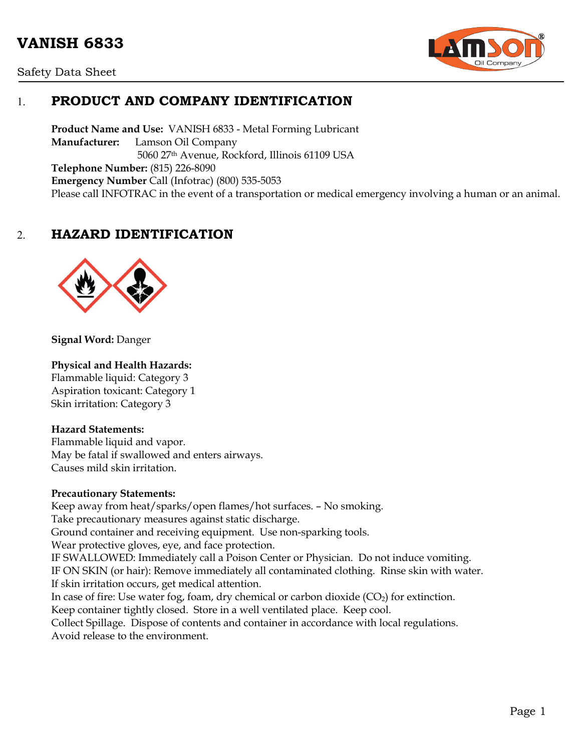# **VANISH 6833**





# 1. **PRODUCT AND COMPANY IDENTIFICATION**

**Product Name and Use:** VANISH 6833 - Metal Forming Lubricant **Manufacturer:** Lamson Oil Company 5060 27th Avenue, Rockford, Illinois 61109 USA **Telephone Number:** (815) 226-8090 **Emergency Number** Call (Infotrac) (800) 535-5053 Please call INFOTRAC in the event of a transportation or medical emergency involving a human or an animal.

# 2. **HAZARD IDENTIFICATION**



**Signal Word:** Danger

#### **Physical and Health Hazards:**

Flammable liquid: Category 3 Aspiration toxicant: Category 1 Skin irritation: Category 3

#### **Hazard Statements:**

Flammable liquid and vapor. May be fatal if swallowed and enters airways. Causes mild skin irritation.

#### **Precautionary Statements:**

Keep away from heat/sparks/open flames/hot surfaces. – No smoking. Take precautionary measures against static discharge. Ground container and receiving equipment. Use non-sparking tools. Wear protective gloves, eye, and face protection. IF SWALLOWED: Immediately call a Poison Center or Physician. Do not induce vomiting. IF ON SKIN (or hair): Remove immediately all contaminated clothing. Rinse skin with water. If skin irritation occurs, get medical attention. In case of fire: Use water fog, foam, dry chemical or carbon dioxide  $(CO<sub>2</sub>)$  for extinction. Keep container tightly closed. Store in a well ventilated place. Keep cool. Collect Spillage. Dispose of contents and container in accordance with local regulations. Avoid release to the environment.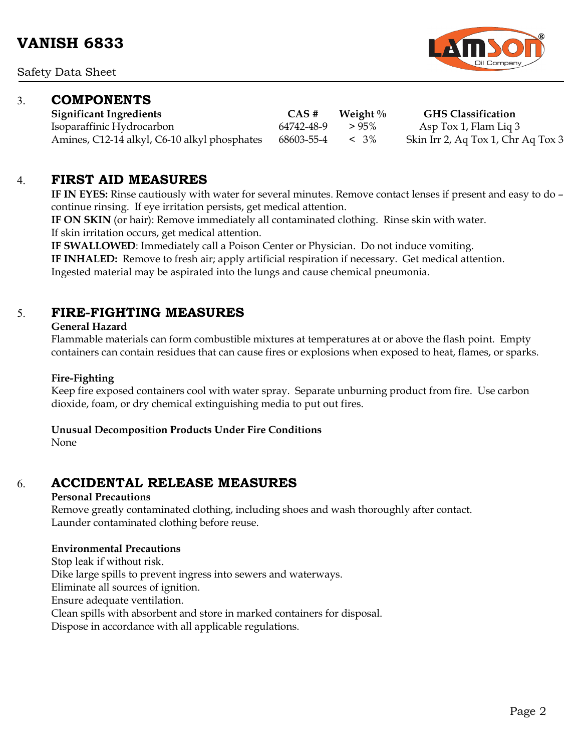Safety Data Sheet

# 3. **COMPONENTS**

**Significant Ingredients CAS # Weight % GHS Classification** Isoparaffinic Hydrocarbon 64742-48-9 > 95% Asp Tox 1, Flam Liq 3 Amines, C12-14 alkyl, C6-10 alkyl phosphates 68603-55-4 < 3% Skin Irr 2, Aq Tox 1, Chr Aq Tox 3

### 4. **FIRST AID MEASURES**

**IF IN EYES:** Rinse cautiously with water for several minutes. Remove contact lenses if present and easy to do – continue rinsing. If eye irritation persists, get medical attention.

**IF ON SKIN** (or hair): Remove immediately all contaminated clothing. Rinse skin with water. If skin irritation occurs, get medical attention.

**IF SWALLOWED**: Immediately call a Poison Center or Physician. Do not induce vomiting.

**IF INHALED:** Remove to fresh air; apply artificial respiration if necessary. Get medical attention.

Ingested material may be aspirated into the lungs and cause chemical pneumonia.

# 5. **FIRE-FIGHTING MEASURES**

#### **General Hazard**

Flammable materials can form combustible mixtures at temperatures at or above the flash point. Empty containers can contain residues that can cause fires or explosions when exposed to heat, flames, or sparks.

#### **Fire-Fighting**

Keep fire exposed containers cool with water spray. Separate unburning product from fire. Use carbon dioxide, foam, or dry chemical extinguishing media to put out fires.

#### **Unusual Decomposition Products Under Fire Conditions**

None

# 6. **ACCIDENTAL RELEASE MEASURES**

#### **Personal Precautions**

Remove greatly contaminated clothing, including shoes and wash thoroughly after contact. Launder contaminated clothing before reuse.

#### **Environmental Precautions**

Stop leak if without risk. Dike large spills to prevent ingress into sewers and waterways. Eliminate all sources of ignition. Ensure adequate ventilation. Clean spills with absorbent and store in marked containers for disposal. Dispose in accordance with all applicable regulations.

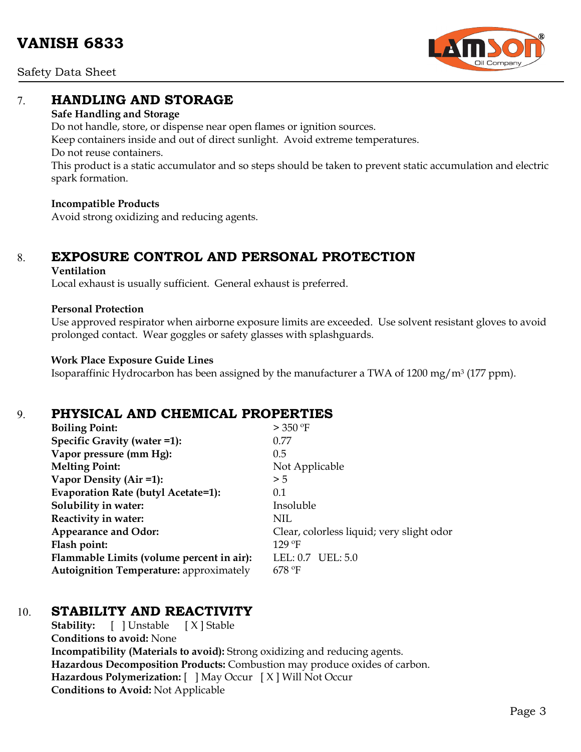Safety Data Sheet

# 7. **HANDLING AND STORAGE**

#### **Safe Handling and Storage**

Do not handle, store, or dispense near open flames or ignition sources. Keep containers inside and out of direct sunlight. Avoid extreme temperatures. Do not reuse containers. This product is a static accumulator and so steps should be taken to prevent static accumulation and electric spark formation.

#### **Incompatible Products**

Avoid strong oxidizing and reducing agents.

# 8. **EXPOSURE CONTROL AND PERSONAL PROTECTION**

#### **Ventilation**

Local exhaust is usually sufficient. General exhaust is preferred.

#### **Personal Protection**

Use approved respirator when airborne exposure limits are exceeded. Use solvent resistant gloves to avoid prolonged contact. Wear goggles or safety glasses with splashguards.

#### **Work Place Exposure Guide Lines**

Isoparaffinic Hydrocarbon has been assigned by the manufacturer a TWA of 1200 mg/m3 (177 ppm).

# 9. **PHYSICAL AND CHEMICAL PROPERTIES**

| <b>Boiling Point:</b>                          | $>$ 350 °F                                |
|------------------------------------------------|-------------------------------------------|
| Specific Gravity (water =1):                   | 0.77                                      |
| Vapor pressure (mm Hg):                        | 0.5                                       |
| <b>Melting Point:</b>                          | Not Applicable                            |
| Vapor Density (Air =1):                        | > 5                                       |
| Evaporation Rate (butyl Acetate=1):            | 0.1                                       |
| Solubility in water:                           | Insoluble                                 |
| Reactivity in water:                           | NIL                                       |
| <b>Appearance and Odor:</b>                    | Clear, colorless liquid; very slight odor |
| Flash point:                                   | $129$ °F                                  |
| Flammable Limits (volume percent in air):      | $LEL: 0.7 \t\t\t\tUEL: 5.0$               |
| <b>Autoignition Temperature: approximately</b> | $678$ °F                                  |

### 10. **STABILITY AND REACTIVITY**

**Stability:** [ ] Unstable [ X ] Stable **Conditions to avoid:** None **Incompatibility (Materials to avoid):** Strong oxidizing and reducing agents. **Hazardous Decomposition Products:** Combustion may produce oxides of carbon. **Hazardous Polymerization:** [ ] May Occur [ X ] Will Not Occur **Conditions to Avoid:** Not Applicable